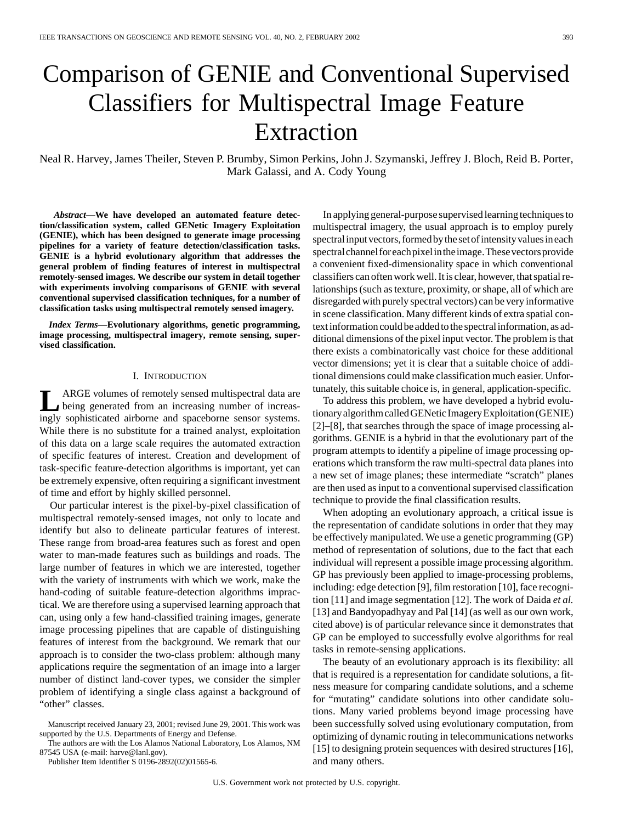# Comparison of GENIE and Conventional Supervised Classifiers for Multispectral Image Feature Extraction

Neal R. Harvey, James Theiler, Steven P. Brumby, Simon Perkins, John J. Szymanski, Jeffrey J. Bloch, Reid B. Porter, Mark Galassi, and A. Cody Young

*Abstract—***We have developed an automated feature detection/classification system, called GENetic Imagery Exploitation (GENIE), which has been designed to generate image processing pipelines for a variety of feature detection/classification tasks. GENIE is a hybrid evolutionary algorithm that addresses the general problem of finding features of interest in multispectral remotely-sensed images. We describe our system in detail together with experiments involving comparisons of GENIE with several conventional supervised classification techniques, for a number of classification tasks using multispectral remotely sensed imagery.**

*Index Terms—***Evolutionary algorithms, genetic programming, image processing, multispectral imagery, remote sensing, supervised classification.**

# I. INTRODUCTION

**L** ARGE volumes of remotely sensed multispectral data are<br>being generated from an increasing number of increasingly sophisticated airborne and spaceborne sensor systems. While there is no substitute for a trained analyst, exploitation of this data on a large scale requires the automated extraction of specific features of interest. Creation and development of task-specific feature-detection algorithms is important, yet can be extremely expensive, often requiring a significant investment of time and effort by highly skilled personnel.

Our particular interest is the pixel-by-pixel classification of multispectral remotely-sensed images, not only to locate and identify but also to delineate particular features of interest. These range from broad-area features such as forest and open water to man-made features such as buildings and roads. The large number of features in which we are interested, together with the variety of instruments with which we work, make the hand-coding of suitable feature-detection algorithms impractical. We are therefore using a supervised learning approach that can, using only a few hand-classified training images, generate image processing pipelines that are capable of distinguishing features of interest from the background. We remark that our approach is to consider the two-class problem: although many applications require the segmentation of an image into a larger number of distinct land-cover types, we consider the simpler problem of identifying a single class against a background of "other" classes.

The authors are with the Los Alamos National Laboratory, Los Alamos, NM 87545 USA (e-mail: harve@lanl.gov).

Publisher Item Identifier S 0196-2892(02)01565-6.

In applying general-purpose supervised learning techniques to multispectral imagery, the usual approach is to employ purely spectral input vectors, formed by the set of intensity values in each spectral channel for each pixel in the image. These vectors provide a convenient fixed-dimensionality space in which conventional classifiers can often work well. It is clear, however, that spatial relationships (such as texture, proximity, or shape, all of which are disregarded with purely spectral vectors) can be very informative in scene classification. Many different kinds of extra spatial context information could be added to the spectral information, as additional dimensions of the pixel input vector. The problem is that there exists a combinatorically vast choice for these additional vector dimensions; yet it is clear that a suitable choice of additional dimensions could make classification much easier. Unfortunately, this suitable choice is, in general, application-specific.

To address this problem, we have developed a hybrid evolutionaryalgorithmcalledGENeticImageryExploitation(GENIE) [2]–[8], that searches through the space of image processing algorithms. GENIE is a hybrid in that the evolutionary part of the program attempts to identify a pipeline of image processing operations which transform the raw multi-spectral data planes into a new set of image planes; these intermediate "scratch" planes are then used as input to a conventional supervised classification technique to provide the final classification results.

When adopting an evolutionary approach, a critical issue is the representation of candidate solutions in order that they may be effectively manipulated. We use a genetic programming (GP) method of representation of solutions, due to the fact that each individual will represent a possible image processing algorithm. GP has previously been applied to image-processing problems, including: edge detection [9], film restoration [10], face recognition [11] and image segmentation [12]. The work of Daida *et al.* [13] and Bandyopadhyay and Pal [14] (as well as our own work, cited above) is of particular relevance since it demonstrates that GP can be employed to successfully evolve algorithms for real tasks in remote-sensing applications.

The beauty of an evolutionary approach is its flexibility: all that is required is a representation for candidate solutions, a fitness measure for comparing candidate solutions, and a scheme for "mutating" candidate solutions into other candidate solutions. Many varied problems beyond image processing have been successfully solved using evolutionary computation, from optimizing of dynamic routing in telecommunications networks [15] to designing protein sequences with desired structures [16], and many others.

Manuscript received January 23, 2001; revised June 29, 2001. This work was supported by the U.S. Departments of Energy and Defense.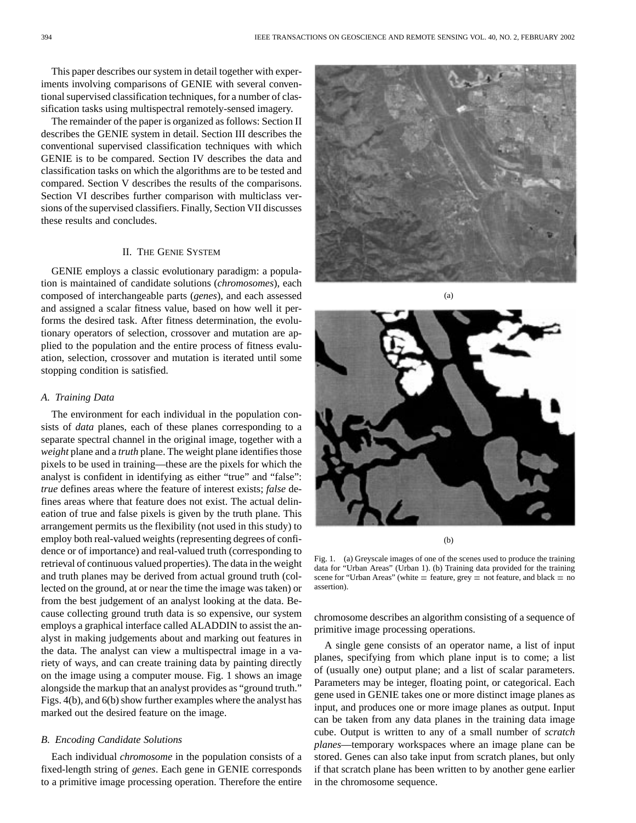This paper describes our system in detail together with experiments involving comparisons of GENIE with several conventional supervised classification techniques, for a number of classification tasks using multispectral remotely-sensed imagery.

The remainder of the paper is organized as follows: Section II describes the GENIE system in detail. Section III describes the conventional supervised classification techniques with which GENIE is to be compared. Section IV describes the data and classification tasks on which the algorithms are to be tested and compared. Section V describes the results of the comparisons. Section VI describes further comparison with multiclass versions of the supervised classifiers. Finally, Section VII discusses these results and concludes.

# II. THE GENIE SYSTEM

GENIE employs a classic evolutionary paradigm: a population is maintained of candidate solutions (*chromosomes*), each composed of interchangeable parts (*genes*), and each assessed and assigned a scalar fitness value, based on how well it performs the desired task. After fitness determination, the evolutionary operators of selection, crossover and mutation are applied to the population and the entire process of fitness evaluation, selection, crossover and mutation is iterated until some stopping condition is satisfied.

#### *A. Training Data*

The environment for each individual in the population consists of *data* planes, each of these planes corresponding to a separate spectral channel in the original image, together with a *weight* plane and a *truth* plane. The weight plane identifies those pixels to be used in training—these are the pixels for which the analyst is confident in identifying as either "true" and "false": *true* defines areas where the feature of interest exists; *false* defines areas where that feature does not exist. The actual delineation of true and false pixels is given by the truth plane. This arrangement permits us the flexibility (not used in this study) to employ both real-valued weights (representing degrees of confidence or of importance) and real-valued truth (corresponding to retrieval of continuous valued properties). The data in the weight and truth planes may be derived from actual ground truth (collected on the ground, at or near the time the image was taken) or from the best judgement of an analyst looking at the data. Because collecting ground truth data is so expensive, our system employs a graphical interface called ALADDIN to assist the analyst in making judgements about and marking out features in the data. The analyst can view a multispectral image in a variety of ways, and can create training data by painting directly on the image using a computer mouse. Fig. 1 shows an image alongside the markup that an analyst provides as "ground truth." Figs. 4(b), and 6(b) show further examples where the analyst has marked out the desired feature on the image.

## *B. Encoding Candidate Solutions*

Each individual *chromosome* in the population consists of a fixed-length string of *genes*. Each gene in GENIE corresponds to a primitive image processing operation. Therefore the entire





(b)

Fig. 1. (a) Greyscale images of one of the scenes used to produce the training data for "Urban Areas" (Urban 1). (b) Training data provided for the training scene for "Urban Areas" (white  $=$  feature, grey  $=$  not feature, and black  $=$  no assertion).

chromosome describes an algorithm consisting of a sequence of primitive image processing operations.

A single gene consists of an operator name, a list of input planes, specifying from which plane input is to come; a list of (usually one) output plane; and a list of scalar parameters. Parameters may be integer, floating point, or categorical. Each gene used in GENIE takes one or more distinct image planes as input, and produces one or more image planes as output. Input can be taken from any data planes in the training data image cube. Output is written to any of a small number of *scratch planes*—temporary workspaces where an image plane can be stored. Genes can also take input from scratch planes, but only if that scratch plane has been written to by another gene earlier in the chromosome sequence.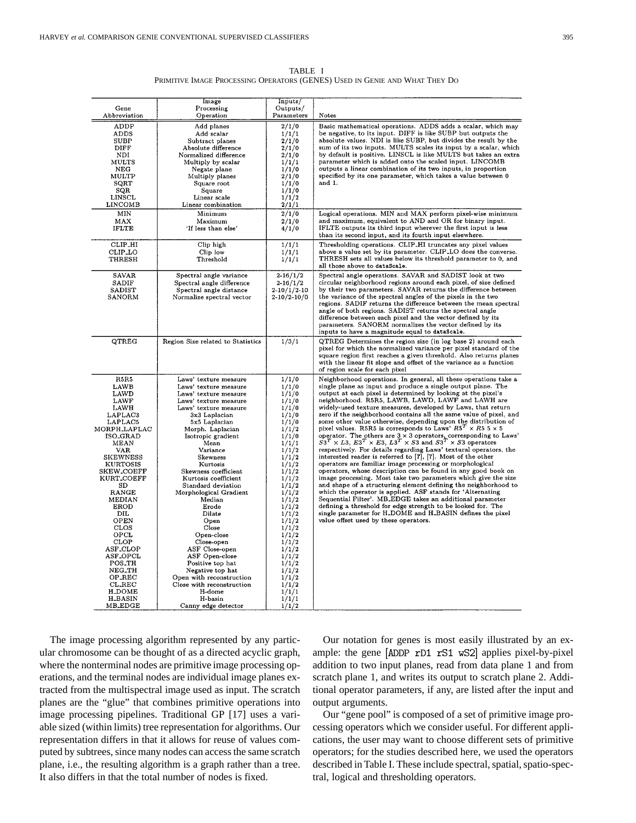TABLE I PRIMITIVE IMAGE PROCESSING OPERATORS (GENES) USED IN GENIE AND WHAT THEY DO

|                                                                                                                                                                                                                                                                                                                                                                                                                                            | Image                                                                                                                                                                                                                                                                                                                                                                                                                                                                                                                                                                                                        | Inputs/                                                                                                                                                                                                                                                                                               |                                                                                                                                                                                                                                                                                                                                                                                                                                                                                                                                                                                                                                                                                                                                                                                                                                                                                                                                                                                                                                                                                                                                                                                                                                                                                                                                                                                                                     |  |  |  |
|--------------------------------------------------------------------------------------------------------------------------------------------------------------------------------------------------------------------------------------------------------------------------------------------------------------------------------------------------------------------------------------------------------------------------------------------|--------------------------------------------------------------------------------------------------------------------------------------------------------------------------------------------------------------------------------------------------------------------------------------------------------------------------------------------------------------------------------------------------------------------------------------------------------------------------------------------------------------------------------------------------------------------------------------------------------------|-------------------------------------------------------------------------------------------------------------------------------------------------------------------------------------------------------------------------------------------------------------------------------------------------------|---------------------------------------------------------------------------------------------------------------------------------------------------------------------------------------------------------------------------------------------------------------------------------------------------------------------------------------------------------------------------------------------------------------------------------------------------------------------------------------------------------------------------------------------------------------------------------------------------------------------------------------------------------------------------------------------------------------------------------------------------------------------------------------------------------------------------------------------------------------------------------------------------------------------------------------------------------------------------------------------------------------------------------------------------------------------------------------------------------------------------------------------------------------------------------------------------------------------------------------------------------------------------------------------------------------------------------------------------------------------------------------------------------------------|--|--|--|
| Gene                                                                                                                                                                                                                                                                                                                                                                                                                                       | Processing                                                                                                                                                                                                                                                                                                                                                                                                                                                                                                                                                                                                   | Outputs/                                                                                                                                                                                                                                                                                              |                                                                                                                                                                                                                                                                                                                                                                                                                                                                                                                                                                                                                                                                                                                                                                                                                                                                                                                                                                                                                                                                                                                                                                                                                                                                                                                                                                                                                     |  |  |  |
| Abbreviation                                                                                                                                                                                                                                                                                                                                                                                                                               | Operation                                                                                                                                                                                                                                                                                                                                                                                                                                                                                                                                                                                                    | Parameters                                                                                                                                                                                                                                                                                            |                                                                                                                                                                                                                                                                                                                                                                                                                                                                                                                                                                                                                                                                                                                                                                                                                                                                                                                                                                                                                                                                                                                                                                                                                                                                                                                                                                                                                     |  |  |  |
| ADDP<br>ADDS<br>SUBP<br>DIFF<br>NDI<br><b>MULTS</b><br>NEG<br>MULTP<br>SQRT<br>SQR<br>LINSCL<br>LINCOMB<br>MIN<br>MAX<br><b>IFLTE</b><br>CLIP_HI<br>CLIP_LO                                                                                                                                                                                                                                                                                | Add planes<br>Add scalar<br>Subtract planes<br>Absolute difference<br>Normalized difference<br>Multiply by scalar<br>Negate plane<br>Multiply planes<br>Square root<br>Square<br>Linear scale<br>Linear combination<br>Minimum<br>Maximum<br>'If less than else'<br>Clip high<br>Clip low                                                                                                                                                                                                                                                                                                                    | 2/1/0<br>1/1/1<br>2/1/0<br>2/1/0<br>2/1/0<br>1/1/1<br>1/1/0<br>2/1/0<br>1/1/0<br>1/1/0<br>1/1/2<br>2/1/1<br>2/1/0<br>2/1/0<br>4/1/0<br>1/1/1<br>1/1/1                                                                                                                                                 | Notes<br>Basic mathematical operations. ADDS adds a scalar, which may<br>be negative, to its input. DIFF is like SUBP but outputs the<br>absolute values. NDI is like SUBP, but divides the result by the<br>sum of its two inputs. MULTS scales its input by a scalar, which<br>by default is positive. LINSCL is like MULTS but takes an extra<br>parameter which is added onto the scaled input. LINCOMB<br>outputs a linear combination of its two inputs, in proportion<br>specified by its one parameter, which takes a value between 0<br>and 1.<br>Logical operations. MIN and MAX perform pixel-wise minimum<br>and maximum, equivalent to AND and OR for binary input.<br>IFLTE outputs its third input wherever the first input is less<br>than its second input, and its fourth input elsewhere.<br>Thresholding operations. CLIP_HI truncates any pixel values<br>above a value set by its parameter. CLIP_LO does the converse.                                                                                                                                                                                                                                                                                                                                                                                                                                                                       |  |  |  |
| THRESH                                                                                                                                                                                                                                                                                                                                                                                                                                     | Threshold                                                                                                                                                                                                                                                                                                                                                                                                                                                                                                                                                                                                    | 1/1/1                                                                                                                                                                                                                                                                                                 | THRESH sets all values below its threshold parameter to 0, and                                                                                                                                                                                                                                                                                                                                                                                                                                                                                                                                                                                                                                                                                                                                                                                                                                                                                                                                                                                                                                                                                                                                                                                                                                                                                                                                                      |  |  |  |
| SAVAR<br>SADIF<br>SADIST<br>SANORM                                                                                                                                                                                                                                                                                                                                                                                                         | Spectral angle variance<br>Spectral angle difference<br>Spectral angle distance<br>Normalize spectral vector                                                                                                                                                                                                                                                                                                                                                                                                                                                                                                 | $2-16/1/2$<br>$2 - 16/1/2$<br>$2 - 10/1/2 - 10$<br>$2-10/2-10/0$                                                                                                                                                                                                                                      | all those above to dataScale.<br>Spectral angle operations. SAVAR and SADIST look at two<br>circular neighborhood regions around each pixel, of size defined<br>by their two parameters. SAVAR returns the difference between<br>the variance of the spectral angles of the pixels in the two<br>regions. SADIF returns the difference between the mean spectral<br>angle of both regions. SADIST returns the spectral angle<br>difference between each pixel and the vector defined by its<br>parameters. SANORM normalizes the vector defined by its<br>inputs to have a magnitude equal to dataScale.                                                                                                                                                                                                                                                                                                                                                                                                                                                                                                                                                                                                                                                                                                                                                                                                            |  |  |  |
| QTREG                                                                                                                                                                                                                                                                                                                                                                                                                                      | Region Size related to Statistics                                                                                                                                                                                                                                                                                                                                                                                                                                                                                                                                                                            | 1/3/1                                                                                                                                                                                                                                                                                                 | QTREG Determines the region size (in log base 2) around each<br>pixel for which the normalized variance per pixel standard of the<br>square region first reaches a given threshold. Also returns planes<br>with the linear fit slope and offset of the variance as a function<br>of region scale for each pixel                                                                                                                                                                                                                                                                                                                                                                                                                                                                                                                                                                                                                                                                                                                                                                                                                                                                                                                                                                                                                                                                                                     |  |  |  |
| R5R5<br>LAWB<br>LAWD<br>LAWF<br>LAWH<br>LAPLAC3<br>LAPLAC5<br>MORPH_LAPLAC<br>ISO <sub>-GRAD</sub><br>MEAN<br>VAR<br><b>SKEWNESS</b><br>KURTOSIS<br>SKEW <sub>-COEFF</sub><br>KURT_COEFF<br>$_{\rm SD}$<br><b>RANGE</b><br>MEDIAN<br><b>EROD</b><br>DIL<br>OPEN<br>CLOS<br>$_{\mathrm{OPCL}}$<br>CLOP<br>ASF_CLOP<br>ASF_OPCL<br>POS <sub>TH</sub><br>NEG_TH<br>OP_REC<br>CL REC<br><b>H_DOME</b><br><b>H_BASIN</b><br>MB <sub>-EDGE</sub> | Laws' texture measure<br>Laws' texture measure<br>Laws' texture measure<br>Laws' texture measure<br>Laws' texture measure<br>3x3 Laplacian<br>5x5 Laplacian<br>Morph. Laplacian<br>Isotropic gradient<br>Mean<br>Variance<br>Skewness<br>Kurtosis<br>Skewness coefficient<br>Kurtosis coefficient<br>Standard deviation<br>Morphological Gradient<br>Median<br>Erode<br>Dilate<br>Open<br>Close<br>Open-close<br>Close-open<br>ASF Close-open<br>ASF Open-close<br>Positive top hat<br>Negative top hat<br>Open with reconstruction<br>Close with reconstruction<br>H-dome<br>H-basin<br>Canny edge detector | 1/1/0<br>1/1/0<br>1/1/0<br>1/1/0<br>1/1/0<br>1/1/0<br>1/1/0<br>1/1/2<br>1/1/0<br>1/1/1<br>1/1/2<br>1/1/2<br>1/1/2<br>1/1/2<br>1/1/2<br>1/1/2<br>1/1/2<br>1/1/2<br>1/1/2<br>1/1/2<br>1/1/2<br>1/1/2<br>1/1/2<br>1/1/2<br>1/1/2<br>1/1/2<br>1/1/2<br>1/1/2<br>1/1/2<br>1/1/2<br>1/1/1<br>1/1/1<br>1/1/2 | Neighborhood operations. In general, all these operations take a<br>single plane as input and produce a single output plane. The<br>output at each pixel is determined by looking at the pixel's<br>neighborhood. R5R5, LAWB, LAWD, LAWF and LAWH are<br>widely-used texture measures, developed by Laws, that return<br>zero if the neighborhood contains all the same value of pixel, and<br>some other value otherwise, depending upon the distribution of<br>pixel values. R5R5 is corresponds to Laws' $R5^T \times R5 5 \times 5$<br>operator. The others are $3 \times 3$ operators, corresponding to Laws'<br>$S3^T \times L3$ , $E3^T \times E3$ , $L3^T \times S3$ and $S3^T \times S3$ operators<br>respectively. For details regarding Laws' textural operators, the<br>interested reader is referred to [?], [?]. Most of the other<br>operators are familiar image processing or morphological<br>operators, whose description can be found in any good book on<br>image processing. Most take two parameters which give the size<br>and shape of a structuring element defining the neighborhood to<br>which the operator is applied. ASF stands for 'Alternating<br>Sequential Filter'. MB_EDGE takes an additional parameter<br>defining a threshold for edge strength to be looked for. The<br>single parameter for H_DOME and H_BASIN defines the pixel<br>value offset used by these operators. |  |  |  |

The image processing algorithm represented by any particular chromosome can be thought of as a directed acyclic graph, where the nonterminal nodes are primitive image processing operations, and the terminal nodes are individual image planes extracted from the multispectral image used as input. The scratch planes are the "glue" that combines primitive operations into image processing pipelines. Traditional GP [17] uses a variable sized (within limits) tree representation for algorithms. Our representation differs in that it allows for reuse of values computed by subtrees, since many nodes can access the same scratch plane, i.e., the resulting algorithm is a graph rather than a tree. It also differs in that the total number of nodes is fixed.

Our notation for genes is most easily illustrated by an example: the gene  $[ADDP rD1 rS1 wS2]$  applies pixel-by-pixel addition to two input planes, read from data plane 1 and from scratch plane 1, and writes its output to scratch plane 2. Additional operator parameters, if any, are listed after the input and output arguments.

Our "gene pool" is composed of a set of primitive image processing operators which we consider useful. For different applications, the user may want to choose different sets of primitive operators; for the studies described here, we used the operators described in Table I. These include spectral, spatial, spatio-spectral, logical and thresholding operators.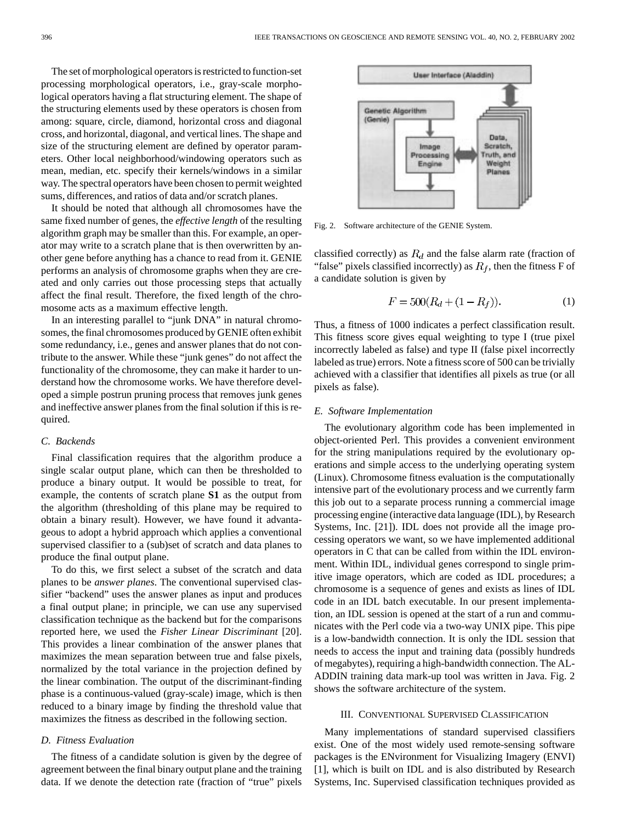The set of morphological operators is restricted to function-set processing morphological operators, i.e., gray-scale morphological operators having a flat structuring element. The shape of the structuring elements used by these operators is chosen from among: square, circle, diamond, horizontal cross and diagonal cross, and horizontal, diagonal, and vertical lines. The shape and size of the structuring element are defined by operator parameters. Other local neighborhood/windowing operators such as mean, median, etc. specify their kernels/windows in a similar way. The spectral operators have been chosen to permit weighted sums, differences, and ratios of data and/or scratch planes.

It should be noted that although all chromosomes have the same fixed number of genes, the *effective length* of the resulting algorithm graph may be smaller than this. For example, an operator may write to a scratch plane that is then overwritten by another gene before anything has a chance to read from it. GENIE performs an analysis of chromosome graphs when they are created and only carries out those processing steps that actually affect the final result. Therefore, the fixed length of the chromosome acts as a maximum effective length.

In an interesting parallel to "junk DNA" in natural chromosomes, the final chromosomes produced by GENIE often exhibit some redundancy, i.e., genes and answer planes that do not contribute to the answer. While these "junk genes" do not affect the functionality of the chromosome, they can make it harder to understand how the chromosome works. We have therefore developed a simple postrun pruning process that removes junk genes and ineffective answer planes from the final solution if this is required.

# *C. Backends*

Final classification requires that the algorithm produce a single scalar output plane, which can then be thresholded to produce a binary output. It would be possible to treat, for example, the contents of scratch plane **S1** as the output from the algorithm (thresholding of this plane may be required to obtain a binary result). However, we have found it advantageous to adopt a hybrid approach which applies a conventional supervised classifier to a (sub)set of scratch and data planes to produce the final output plane.

To do this, we first select a subset of the scratch and data planes to be *answer planes*. The conventional supervised classifier "backend" uses the answer planes as input and produces a final output plane; in principle, we can use any supervised classification technique as the backend but for the comparisons reported here, we used the *Fisher Linear Discriminant* [20]. This provides a linear combination of the answer planes that maximizes the mean separation between true and false pixels, normalized by the total variance in the projection defined by the linear combination. The output of the discriminant-finding phase is a continuous-valued (gray-scale) image, which is then reduced to a binary image by finding the threshold value that maximizes the fitness as described in the following section.

# *D. Fitness Evaluation*

The fitness of a candidate solution is given by the degree of agreement between the final binary output plane and the training data. If we denote the detection rate (fraction of "true" pixels



Fig. 2. Software architecture of the GENIE System.

classified correctly) as  $R_d$  and the false alarm rate (fraction of "false" pixels classified incorrectly) as  $R_f$ , then the fitness F of a candidate solution is given by

$$
F = 500(R_d + (1 - R_f)).
$$
 (1)

Thus, a fitness of 1000 indicates a perfect classification result. This fitness score gives equal weighting to type I (true pixel incorrectly labeled as false) and type II (false pixel incorrectly labeled as true) errors. Note a fitness score of 500 can be trivially achieved with a classifier that identifies all pixels as true (or all pixels as false).

# *E. Software Implementation*

The evolutionary algorithm code has been implemented in object-oriented Perl. This provides a convenient environment for the string manipulations required by the evolutionary operations and simple access to the underlying operating system (Linux). Chromosome fitness evaluation is the computationally intensive part of the evolutionary process and we currently farm this job out to a separate process running a commercial image processing engine (interactive data language (IDL), by Research Systems, Inc. [21]). IDL does not provide all the image processing operators we want, so we have implemented additional operators in C that can be called from within the IDL environment. Within IDL, individual genes correspond to single primitive image operators, which are coded as IDL procedures; a chromosome is a sequence of genes and exists as lines of IDL code in an IDL batch executable. In our present implementation, an IDL session is opened at the start of a run and communicates with the Perl code via a two-way UNIX pipe. This pipe is a low-bandwidth connection. It is only the IDL session that needs to access the input and training data (possibly hundreds of megabytes), requiring a high-bandwidth connection. The AL-ADDIN training data mark-up tool was written in Java. Fig. 2 shows the software architecture of the system.

# III. CONVENTIONAL SUPERVISED CLASSIFICATION

Many implementations of standard supervised classifiers exist. One of the most widely used remote-sensing software packages is the ENvironment for Visualizing Imagery (ENVI) [1], which is built on IDL and is also distributed by Research Systems, Inc. Supervised classification techniques provided as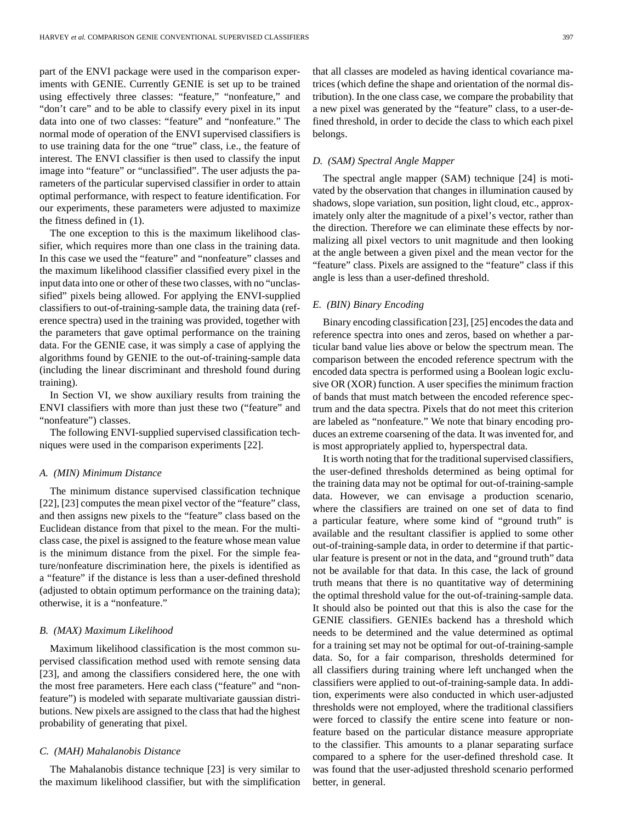part of the ENVI package were used in the comparison experiments with GENIE. Currently GENIE is set up to be trained using effectively three classes: "feature," "nonfeature," and "don't care" and to be able to classify every pixel in its input data into one of two classes: "feature" and "nonfeature." The normal mode of operation of the ENVI supervised classifiers is to use training data for the one "true" class, i.e., the feature of interest. The ENVI classifier is then used to classify the input image into "feature" or "unclassified". The user adjusts the parameters of the particular supervised classifier in order to attain optimal performance, with respect to feature identification. For our experiments, these parameters were adjusted to maximize the fitness defined in (1).

The one exception to this is the maximum likelihood classifier, which requires more than one class in the training data. In this case we used the "feature" and "nonfeature" classes and the maximum likelihood classifier classified every pixel in the input data into one or other of these two classes, with no "unclassified" pixels being allowed. For applying the ENVI-supplied classifiers to out-of-training-sample data, the training data (reference spectra) used in the training was provided, together with the parameters that gave optimal performance on the training data. For the GENIE case, it was simply a case of applying the algorithms found by GENIE to the out-of-training-sample data (including the linear discriminant and threshold found during training).

In Section VI, we show auxiliary results from training the ENVI classifiers with more than just these two ("feature" and "nonfeature") classes.

The following ENVI-supplied supervised classification techniques were used in the comparison experiments [22].

## *A. (MIN) Minimum Distance*

The minimum distance supervised classification technique [22], [23] computes the mean pixel vector of the "feature" class, and then assigns new pixels to the "feature" class based on the Euclidean distance from that pixel to the mean. For the multiclass case, the pixel is assigned to the feature whose mean value is the minimum distance from the pixel. For the simple feature/nonfeature discrimination here, the pixels is identified as a "feature" if the distance is less than a user-defined threshold (adjusted to obtain optimum performance on the training data); otherwise, it is a "nonfeature."

#### *B. (MAX) Maximum Likelihood*

Maximum likelihood classification is the most common supervised classification method used with remote sensing data [23], and among the classifiers considered here, the one with the most free parameters. Here each class ("feature" and "nonfeature") is modeled with separate multivariate gaussian distributions. New pixels are assigned to the class that had the highest probability of generating that pixel.

#### *C. (MAH) Mahalanobis Distance*

The Mahalanobis distance technique [23] is very similar to the maximum likelihood classifier, but with the simplification that all classes are modeled as having identical covariance matrices (which define the shape and orientation of the normal distribution). In the one class case, we compare the probability that a new pixel was generated by the "feature" class, to a user-defined threshold, in order to decide the class to which each pixel belongs.

#### *D. (SAM) Spectral Angle Mapper*

The spectral angle mapper (SAM) technique [24] is motivated by the observation that changes in illumination caused by shadows, slope variation, sun position, light cloud, etc., approximately only alter the magnitude of a pixel's vector, rather than the direction. Therefore we can eliminate these effects by normalizing all pixel vectors to unit magnitude and then looking at the angle between a given pixel and the mean vector for the "feature" class. Pixels are assigned to the "feature" class if this angle is less than a user-defined threshold.

# *E. (BIN) Binary Encoding*

Binary encoding classification [23], [25] encodes the data and reference spectra into ones and zeros, based on whether a particular band value lies above or below the spectrum mean. The comparison between the encoded reference spectrum with the encoded data spectra is performed using a Boolean logic exclusive OR (XOR) function. A user specifies the minimum fraction of bands that must match between the encoded reference spectrum and the data spectra. Pixels that do not meet this criterion are labeled as "nonfeature." We note that binary encoding produces an extreme coarsening of the data. It was invented for, and is most appropriately applied to, hyperspectral data.

It is worth noting that for the traditional supervised classifiers, the user-defined thresholds determined as being optimal for the training data may not be optimal for out-of-training-sample data. However, we can envisage a production scenario, where the classifiers are trained on one set of data to find a particular feature, where some kind of "ground truth" is available and the resultant classifier is applied to some other out-of-training-sample data, in order to determine if that particular feature is present or not in the data, and "ground truth" data not be available for that data. In this case, the lack of ground truth means that there is no quantitative way of determining the optimal threshold value for the out-of-training-sample data. It should also be pointed out that this is also the case for the GENIE classifiers. GENIEs backend has a threshold which needs to be determined and the value determined as optimal for a training set may not be optimal for out-of-training-sample data. So, for a fair comparison, thresholds determined for all classifiers during training where left unchanged when the classifiers were applied to out-of-training-sample data. In addition, experiments were also conducted in which user-adjusted thresholds were not employed, where the traditional classifiers were forced to classify the entire scene into feature or nonfeature based on the particular distance measure appropriate to the classifier. This amounts to a planar separating surface compared to a sphere for the user-defined threshold case. It was found that the user-adjusted threshold scenario performed better, in general.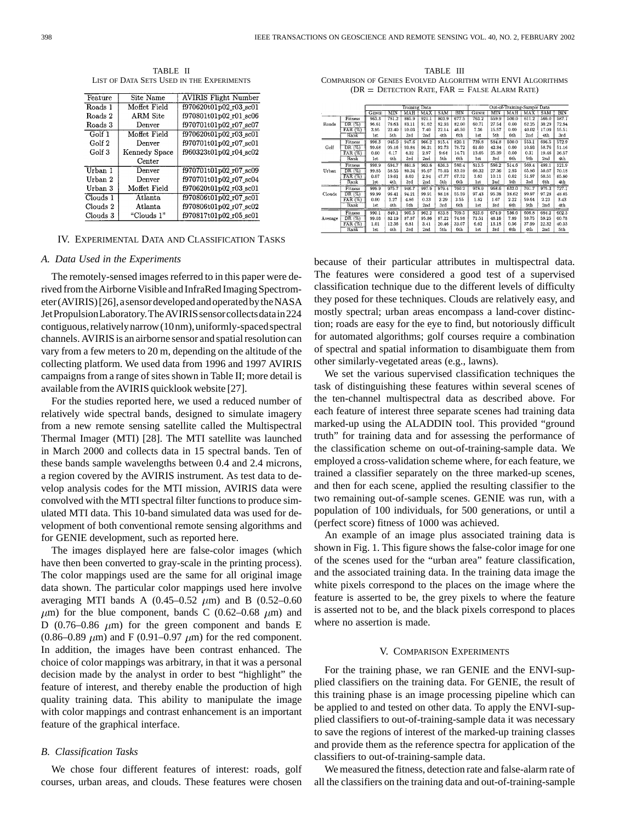| Feature  | Site Name       | <b>AVIRIS Flight Number</b> |  |  |  |  |
|----------|-----------------|-----------------------------|--|--|--|--|
| Roads 1  | Moffet Field    | f970620t01p02 r03 sc01      |  |  |  |  |
| Roads 2  | <b>ARM</b> Site | f970801t01p02r01sc06        |  |  |  |  |
| Roads 3  | Denver          | f970701t01p02 r07 sc07      |  |  |  |  |
| Golf1    | Moffet Field    | f970620t01p02 r03 sc01      |  |  |  |  |
| Golf 2   | Denver          | f970701t01p02 r07 sc01      |  |  |  |  |
| Golf 3   | Kennedy Space   | f960323t01p02 r04 sc02      |  |  |  |  |
|          | Center          |                             |  |  |  |  |
| Urban 1  | Denver          | f970701t01p02 r07 sc09      |  |  |  |  |
| Urban 2  | Denver          | f970701t01p02r07sc04        |  |  |  |  |
| Urban 3  | Moffet Field    | f970620t01p02 r03 sc01      |  |  |  |  |
| Clouds 1 | Atlanta         | f970806t01p02 r07 sc01      |  |  |  |  |
| Clouds 2 | Atlanta         | f970806t01p02 r07 sc02      |  |  |  |  |
| Clouds 3 | "Clouds 1"      | f970817t01p02 r05 sc01      |  |  |  |  |

#### IV. EXPERIMENTAL DATA AND CLASSIFICATION TASKS

#### *A. Data Used in the Experiments*

The remotely-sensed images referred to in this paper were derived from the Airborne Visible and InfraRed Imaging Spectrometer(AVIRIS)[26], a sensor developed and operated by the NASA Jet Propulsion Laboratory. The AVIRIS sensor collects data in 224 contiguous,relativelynarrow(10nm),uniformly-spacedspectral channels. AVIRIS is an airborne sensor and spatial resolution can vary from a few meters to 20 m, depending on the altitude of the collecting platform. We used data from 1996 and 1997 AVIRIS campaigns from a range of sites shown in Table II; more detail is available from the AVIRIS quicklook website [27].

For the studies reported here, we used a reduced number of relatively wide spectral bands, designed to simulate imagery from a new remote sensing satellite called the Multispectral Thermal Imager (MTI) [28]. The MTI satellite was launched in March 2000 and collects data in 15 spectral bands. Ten of these bands sample wavelengths between 0.4 and 2.4 microns, a region covered by the AVIRIS instrument. As test data to develop analysis codes for the MTI mission, AVIRIS data were convolved with the MTI spectral filter functions to produce simulated MTI data. This 10-band simulated data was used for development of both conventional remote sensing algorithms and for GENIE development, such as reported here.

The images displayed here are false-color images (which have then been converted to gray-scale in the printing process). The color mappings used are the same for all original image data shown. The particular color mappings used here involve averaging MTI bands A (0.45–0.52  $\mu$ m) and B (0.52–0.60  $\mu$ m) for the blue component, bands C (0.62–0.68  $\mu$ m) and D (0.76–0.86  $\mu$ m) for the green component and bands E (0.86–0.89  $\mu$ m) and F (0.91–0.97  $\mu$ m) for the red component. In addition, the images have been contrast enhanced. The choice of color mappings was arbitrary, in that it was a personal decision made by the analyst in order to best "highlight" the feature of interest, and thereby enable the production of high quality training data. This ability to manipulate the image with color mappings and contrast enhancement is an important feature of the graphical interface.

## *B. Classification Tasks*

We chose four different features of interest: roads, golf courses, urban areas, and clouds. These features were chosen

TABLE III COMPARISON OF GENIES EVOLVED ALGORITHM WITH ENVI ALGORITHMS  $(DR = DETECTION RATE, FAR = FALSE ALARM RATE)$ 

|         |         | <b>Training Data</b> |       |       |       | Out-of-Training-Sample Data |       |              |       |       |       |       |       |
|---------|---------|----------------------|-------|-------|-------|-----------------------------|-------|--------------|-------|-------|-------|-------|-------|
|         |         | <b>GENIE</b>         | MIN   | MAH   | MAX   | SAM                         | BIN   | <b>GENIE</b> | MIN   | MAH   | MAX   | SAM   | BIN   |
|         | Fitness | 963.3                | 781.2 | 865.9 | 921.1 | 803.9                       | 677.5 | 763.2        | 559.9 | 500.0 | 611.2 | 566.0 | 587.1 |
| Roads   | DR(%)   | 96.61                | 78.63 | 83.11 | 91.62 | 82.93                       | 82.00 | 60.71        | 27.54 | 0.00  | 62.25 | 30.29 | 72.94 |
|         | FAR (%) | 3.95                 | 22.40 | 10.03 | 7.40  | 22.14                       | 46.50 | 7.36         | 15.57 | 0.00  | 40.02 | 17.09 | 55.51 |
|         | Rank    | 1st                  | 5th   | 3rd   | 2nd   | 4th                         | 6th   | 1st          | 5th   | 6th   | 2nd   | 4th   | 3rd   |
|         | Fitness | 998.3                | 945.0 | 947.6 | 966.2 | 915.4                       | 820.1 | 739.8        | 584.8 | 500.0 | 553.1 | 696.5 | 572.9 |
| Golf    | DR (%)  | 99.68                | 95.16 | 93.84 | 96.21 | 92.73                       | 78.72 | 61.60        | 42.34 | 0.00  | 10.93 | 58.76 | 51.16 |
|         | FAR (%) | 0.00                 | 6.17  | 4.32  | 2.97  | 9.64                        | 14.71 | 13.65        | 25.39 | 0.00  | 0.31  | 19.46 | 36.57 |
|         | Rank    | $_{\rm 1st}$         | 4th   | 3rd   | 2nd   | 5th                         | 6th   | 1st          | 3rd   | 6th   | 5th   | 2nd   | 4th   |
|         | Fitness | 998.9                | 694.7 | 861.6 | 963.6 | 636.3                       | 580.4 | 813.5        | 586.2 | 514.6 | 569.4 | 499.1 | 521.9 |
| Urban   | DR (%)  | 99.85                | 58.55 | 80.34 | 95.67 | 75.03                       | 83.59 | 66.32        | 27.36 | 2.93  | 65.86 | 50.67 | 70.18 |
|         | FAR (%) | 0.07                 | 19.61 | 8.03  | 2.94  | 47.77                       | 67.52 | 3.63         | 10.11 | 0.02  | 51.97 | 50.51 | 65.80 |
|         | Rank    | 1st                  | 4th   | 3rd   | 2nd   | 5th                         | 6th   | 1st          | 2nd   | 5th   | 3rd   | 6th   | 4th   |
|         | Fitness | 999.9                | 975.7 | 946.7 | 997.9 | 979.4                       | 760.2 | 978.0        | 968.6 | 632.0 | 701.7 | 975.3 | 727.1 |
| Clouds  | DR(%)   | 99.99                | 96.41 | 94.21 | 99.91 | 98.18                       | 55.59 | 97.43        | 95.38 | 28.62 | 99.97 | 97.28 | 48.85 |
|         | FAR(%)  | 0.00                 | 1.27  | 4.86  | 0.33  | 2.29                        | 3.55  | 1.82         | 1.67  | 2.22  | 59.64 | 2.23  | 3.43  |
|         | Rank    | 1st                  | 4th   | 5th   | 2nd   | 3rd                         | 6th   | 1st          | 3rd   | 6th   | 5th   | 2nd   | 4th   |
|         | Fitness | 990.1                | 849.1 | 905.5 | 962.2 | 833.8                       | 709.5 | 823.6        | 674.9 | 536.6 | 608.8 | 684.2 | 602.3 |
| Average | DR(%)   | 99.03                | 82.19 | 87.87 | 95.86 | 87.22                       | 74.98 | 71.51        | 48.16 | 7.89  | 59.75 | 59.25 | 60.78 |
|         | FAR (%) | 1.01                 | 12.36 | 6.81  | 3.41  | 20.46                       | 33.07 | 6.62         | 13.18 | 0.56  | 37.99 | 22.32 | 40.33 |
|         | Rank    | 1st                  | 4th   | 3rd   | 2nd   | 5th                         | 6th   | 1st          | 3rd   | 6th   | 4th   | 2nd   | 5th   |

because of their particular attributes in multispectral data. The features were considered a good test of a supervised classification technique due to the different levels of difficulty they posed for these techniques. Clouds are relatively easy, and mostly spectral; urban areas encompass a land-cover distinction; roads are easy for the eye to find, but notoriously difficult for automated algorithms; golf courses require a combination of spectral and spatial information to disambiguate them from other similarly-vegetated areas (e.g., lawns).

We set the various supervised classification techniques the task of distinguishing these features within several scenes of the ten-channel multispectral data as described above. For each feature of interest three separate scenes had training data marked-up using the ALADDIN tool. This provided "ground truth" for training data and for assessing the performance of the classification scheme on out-of-training-sample data. We employed a cross-validation scheme where, for each feature, we trained a classifier separately on the three marked-up scenes, and then for each scene, applied the resulting classifier to the two remaining out-of-sample scenes. GENIE was run, with a population of 100 individuals, for 500 generations, or until a (perfect score) fitness of 1000 was achieved.

An example of an image plus associated training data is shown in Fig. 1. This figure shows the false-color image for one of the scenes used for the "urban area" feature classification, and the associated training data. In the training data image the white pixels correspond to the places on the image where the feature is asserted to be, the grey pixels to where the feature is asserted not to be, and the black pixels correspond to places where no assertion is made.

# V. COMPARISON EXPERIMENTS

For the training phase, we ran GENIE and the ENVI-supplied classifiers on the training data. For GENIE, the result of this training phase is an image processing pipeline which can be applied to and tested on other data. To apply the ENVI-supplied classifiers to out-of-training-sample data it was necessary to save the regions of interest of the marked-up training classes and provide them as the reference spectra for application of the classifiers to out-of-training-sample data.

We measured the fitness, detection rate and false-alarm rate of all the classifiers on the training data and out-of-training-sample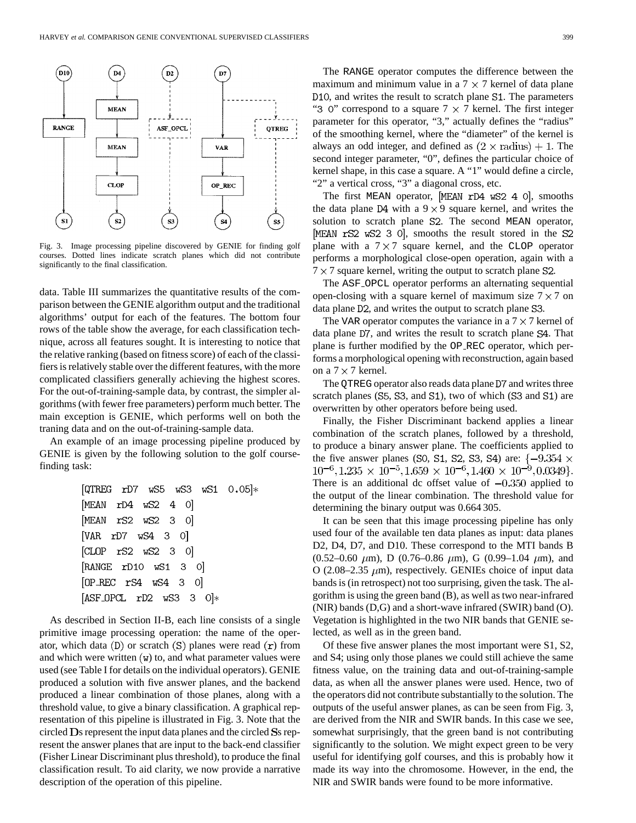

Fig. 3. Image processing pipeline discovered by GENIE for finding golf courses. Dotted lines indicate scratch planes which did not contribute significantly to the final classification.

data. Table III summarizes the quantitative results of the comparison between the GENIE algorithm output and the traditional algorithms' output for each of the features. The bottom four rows of the table show the average, for each classification technique, across all features sought. It is interesting to notice that the relative ranking (based on fitness score) of each of the classifiers is relatively stable over the different features, with the more complicated classifiers generally achieving the highest scores. For the out-of-training-sample data, by contrast, the simpler algorithms (with fewer free parameters) perform much better. The main exception is GENIE, which performs well on both the traning data and on the out-of-training-sample data.

An example of an image processing pipeline produced by GENIE is given by the following solution to the golf coursefinding task:

As described in Section II-B, each line consists of a single primitive image processing operation: the name of the operator, which data (D) or scratch (S) planes were read  $(r)$  from and which were written  $(v)$  to, and what parameter values were used (see Table I for details on the individual operators). GENIE produced a solution with five answer planes, and the backend produced a linear combination of those planes, along with a threshold value, to give a binary classification. A graphical representation of this pipeline is illustrated in Fig. 3. Note that the circled  $\mathbf D$ s represent the input data planes and the circled  $\mathbf S$ s represent the answer planes that are input to the back-end classifier (Fisher Linear Discriminant plus threshold), to produce the final classification result. To aid clarity, we now provide a narrative description of the operation of this pipeline.

The RANGE operator computes the difference between the maximum and minimum value in a  $7 \times 7$  kernel of data plane D10, and writes the result to scratch plane S1. The parameters " 3 0" correspond to a square  $7 \times 7$  kernel. The first integer parameter for this operator, "3," actually defines the "radius" of the smoothing kernel, where the "diameter" of the kernel is always an odd integer, and defined as  $(2 \times \text{radius}) + 1$ . The second integer parameter, "0", defines the particular choice of kernel shape, in this case a square. A "1" would define a circle, "2" a vertical cross, "3" a diagonal cross, etc.

The first MEAN operator, [MEAN rD4 wS2 4 0], smooths the data plane D4 with a  $9 \times 9$  square kernel, and writes the solution to scratch plane S2. The second MEAN operator, [MEAN  $rS2$  w $S2$  3 0], smooths the result stored in the  $S2$ plane with a  $7 \times 7$  square kernel, and the CLOP operator performs a morphological close-open operation, again with a  $7 \times 7$  square kernel, writing the output to scratch plane S2.

The ASF OPCL operator performs an alternating sequential open-closing with a square kernel of maximum size  $7 \times 7$  on data plane D2, and writes the output to scratch plane S3.

The VAR operator computes the variance in a  $7 \times 7$  kernel of data plane D7, and writes the result to scratch plane S4. That plane is further modified by the OP REC operator, which performs a morphological opening with reconstruction, again based on a  $7 \times 7$  kernel.

The QTREG operator also reads data plane D7 and writes three scratch planes  $(S5, S3, and S1)$ , two of which  $(S3 and S1)$  are overwritten by other operators before being used.

Finally, the Fisher Discriminant backend applies a linear combination of the scratch planes, followed by a threshold, to produce a binary answer plane. The coefficients applied to the five answer planes (SO, S1, S2, S3, S4) are:  $\{-9.354 \times$  $10^{-6}, 1.235 \times 10^{-5}, 1.659 \times 10^{-6}, 1.460 \times 10^{-9}, 0.0349$ . There is an additional dc offset value of  $-0.350$  applied to the output of the linear combination. The threshold value for determining the binary output was 0.664 305.

It can be seen that this image processing pipeline has only used four of the available ten data planes as input: data planes D2, D4, D7, and D10. These correspond to the MTI bands B  $(0.52-0.60 \mu m)$ , D  $(0.76-0.86 \mu m)$ , G  $(0.99-1.04 \mu m)$ , and O (2.08–2.35  $\mu$ m), respectively. GENIEs choice of input data bands is (in retrospect) not too surprising, given the task. The algorithm is using the green band (B), as well as two near-infrared (NIR) bands (D,G) and a short-wave infrared (SWIR) band (O). Vegetation is highlighted in the two NIR bands that GENIE selected, as well as in the green band.

Of these five answer planes the most important were S1, S2, and S4; using only those planes we could still achieve the same fitness value, on the training data and out-of-training-sample data, as when all the answer planes were used. Hence, two of the operators did not contribute substantially to the solution. The outputs of the useful answer planes, as can be seen from Fig. 3, are derived from the NIR and SWIR bands. In this case we see, somewhat surprisingly, that the green band is not contributing significantly to the solution. We might expect green to be very useful for identifying golf courses, and this is probably how it made its way into the chromosome. However, in the end, the NIR and SWIR bands were found to be more informative.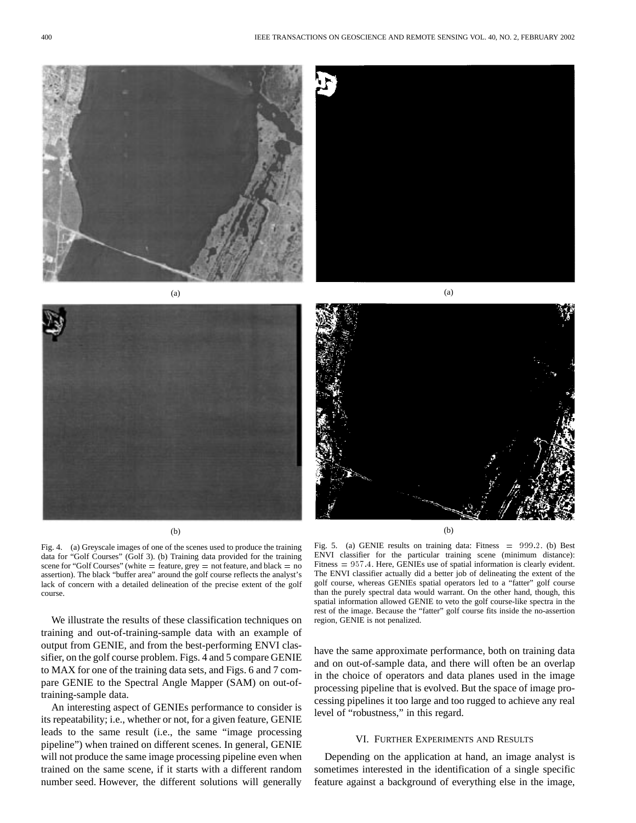

Fig. 4. (a) Greyscale images of one of the scenes used to produce the training data for "Golf Courses" (Golf 3). (b) Training data provided for the training scene for "Golf Courses" (white  $=$  feature, grey  $=$  not feature, and black  $=$  no assertion). The black "buffer area" around the golf course reflects the analyst's lack of concern with a detailed delineation of the precise extent of the golf

We illustrate the results of these classification techniques on training and out-of-training-sample data with an example of output from GENIE, and from the best-performing ENVI classifier, on the golf course problem. Figs. 4 and 5 compare GENIE to MAX for one of the training data sets, and Figs. 6 and 7 compare GENIE to the Spectral Angle Mapper (SAM) on out-oftraining-sample data.

An interesting aspect of GENIEs performance to consider is its repeatability; i.e., whether or not, for a given feature, GENIE leads to the same result (i.e., the same "image processing pipeline") when trained on different scenes. In general, GENIE will not produce the same image processing pipeline even when trained on the same scene, if it starts with a different random number seed. However, the different solutions will generally

Fig. 5. (a) GENIE results on training data: Fitness  $= 999.2$ . (b) Best ENVI classifier for the particular training scene (minimum distance): Fitness = 957.4. Here, GENIEs use of spatial information is clearly evident. The ENVI classifier actually did a better job of delineating the extent of the golf course, whereas GENIEs spatial operators led to a "fatter" golf course than the purely spectral data would warrant. On the other hand, though, this spatial information allowed GENIE to veto the golf course-like spectra in the rest of the image. Because the "fatter" golf course fits inside the no-assertion region, GENIE is not penalized.

have the same approximate performance, both on training data and on out-of-sample data, and there will often be an overlap in the choice of operators and data planes used in the image processing pipeline that is evolved. But the space of image processing pipelines it too large and too rugged to achieve any real level of "robustness," in this regard.

# VI. FURTHER EXPERIMENTS AND RESULTS

Depending on the application at hand, an image analyst is sometimes interested in the identification of a single specific feature against a background of everything else in the image,

course.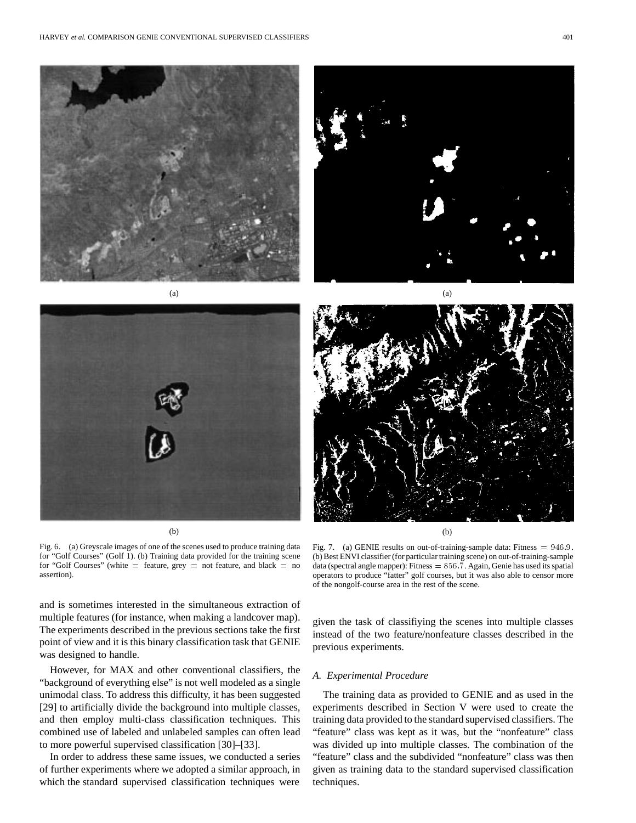

(b)

Fig. 6. (a) Greyscale images of one of the scenes used to produce training data for "Golf Courses" (Golf 1). (b) Training data provided for the training scene for "Golf Courses" (white <sup>=</sup> feature, grey <sup>=</sup> not feature, and black <sup>=</sup> no assertion).

Fig. 7. (a) GENIE results on out-of-training-sample data: Fitness = 946.9. (b) Best ENVI classifier (for particular training scene) on out-of-training-sample data (spectral angle mapper): Fitness = 856:7. Again, Genie has used its spatial operators to produce "fatter" golf courses, but it was also able to censor more of the nongolf-course area in the rest of the scene.

(b)

and is sometimes interested in the simultaneous extraction of multiple features (for instance, when making a landcover map). The experiments described in the previous sections take the first point of view and it is this binary classification task that GENIE was designed to handle.

However, for MAX and other conventional classifiers, the "background of everything else" is not well modeled as a single unimodal class. To address this difficulty, it has been suggested [29] to artificially divide the background into multiple classes, and then employ multi-class classification techniques. This combined use of labeled and unlabeled samples can often lead to more powerful supervised classification [30]–[33].

In order to address these same issues, we conducted a series of further experiments where we adopted a similar approach, in which the standard supervised classification techniques were given the task of classifiying the scenes into multiple classes instead of the two feature/nonfeature classes described in the previous experiments.

## *A. Experimental Procedure*

The training data as provided to GENIE and as used in the experiments described in Section V were used to create the training data provided to the standard supervised classifiers. The "feature" class was kept as it was, but the "nonfeature" class was divided up into multiple classes. The combination of the "feature" class and the subdivided "nonfeature" class was then given as training data to the standard supervised classification techniques.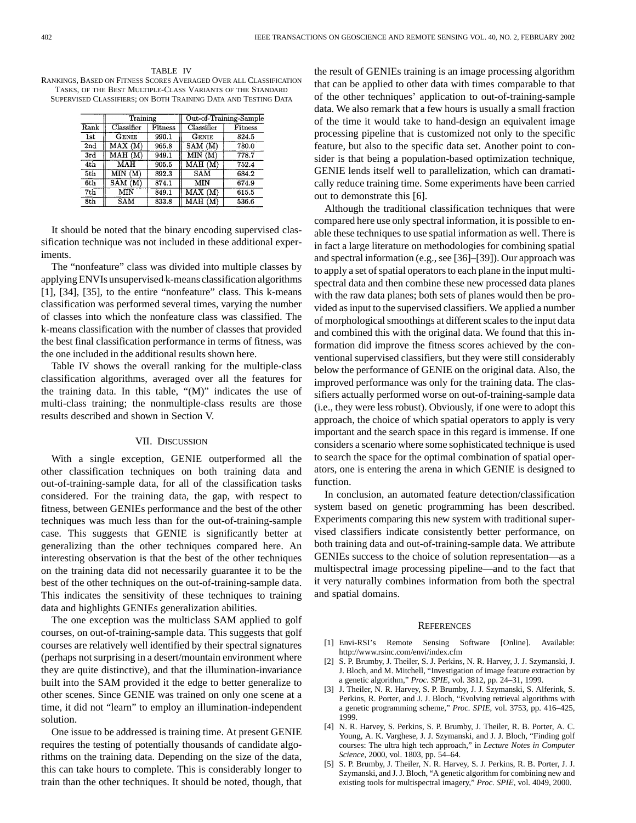TABLE IV RANKINGS, BASED ON FITNESS SCORES AVERAGED OVER ALL CLASSIFICATION TASKS, OF THE BEST MULTIPLE-CLASS VARIANTS OF THE STANDARD SUPERVISED CLASSIFIERS; ON BOTH TRAINING DATA AND TESTING DATA

|            | Training                    |         | Out-of-Training-Sample         |                     |  |  |
|------------|-----------------------------|---------|--------------------------------|---------------------|--|--|
| Rank       | Classifier                  | Fitness | Classifier                     | $_\mathrm{Fitness}$ |  |  |
| <b>1st</b> | <b>GENIE</b>                | 990.1   | <b>GENIE</b>                   | 824.5               |  |  |
| 2nd        | $\overline{\text{MAX}}$ (M) | 965.8   | SAM(M)                         | 780.0               |  |  |
| 3rd        | MAH(M)                      | 949.1   | MIN (M)                        | 778.7               |  |  |
| 4th        | <b>MAH</b>                  | 905.5   | MAH(M)                         | 752.4               |  |  |
| 5th        | MIN(M)                      | 892.3   | SAM                            | 684.2               |  |  |
| 6th        | SAM(M)                      | 874.1   | MIN                            | 674.9               |  |  |
| 7th        | MIN                         | 849.1   | MAX(M)                         | 615.5               |  |  |
| 8th        | <b>SAM</b>                  | 833.8   | $\overline{\text{MAH}}$<br>(M) | 536.6               |  |  |

It should be noted that the binary encoding supervised classification technique was not included in these additional experiments.

The "nonfeature" class was divided into multiple classes by applying ENVIs unsupervised k-means classification algorithms [1], [34], [35], to the entire "nonfeature" class. This k-means classification was performed several times, varying the number of classes into which the nonfeature class was classified. The k-means classification with the number of classes that provided the best final classification performance in terms of fitness, was the one included in the additional results shown here.

Table IV shows the overall ranking for the multiple-class classification algorithms, averaged over all the features for the training data. In this table, "(M)" indicates the use of multi-class training; the nonmultiple-class results are those results described and shown in Section V.

#### VII. DISCUSSION

With a single exception, GENIE outperformed all the other classification techniques on both training data and out-of-training-sample data, for all of the classification tasks considered. For the training data, the gap, with respect to fitness, between GENIEs performance and the best of the other techniques was much less than for the out-of-training-sample case. This suggests that GENIE is significantly better at generalizing than the other techniques compared here. An interesting observation is that the best of the other techniques on the training data did not necessarily guarantee it to be the best of the other techniques on the out-of-training-sample data. This indicates the sensitivity of these techniques to training data and highlights GENIEs generalization abilities.

The one exception was the multiclass SAM applied to golf courses, on out-of-training-sample data. This suggests that golf courses are relatively well identified by their spectral signatures (perhaps not surprising in a desert/mountain environment where they are quite distinctive), and that the illumination-invariance built into the SAM provided it the edge to better generalize to other scenes. Since GENIE was trained on only one scene at a time, it did not "learn" to employ an illumination-independent solution.

One issue to be addressed is training time. At present GENIE requires the testing of potentially thousands of candidate algorithms on the training data. Depending on the size of the data, this can take hours to complete. This is considerably longer to train than the other techniques. It should be noted, though, that the result of GENIEs training is an image processing algorithm that can be applied to other data with times comparable to that of the other techniques' application to out-of-training-sample data. We also remark that a few hours is usually a small fraction of the time it would take to hand-design an equivalent image processing pipeline that is customized not only to the specific feature, but also to the specific data set. Another point to consider is that being a population-based optimization technique, GENIE lends itself well to parallelization, which can dramatically reduce training time. Some experiments have been carried out to demonstrate this [6].

Although the traditional classification techniques that were compared here use only spectral information, it is possible to enable these techniques to use spatial information as well. There is in fact a large literature on methodologies for combining spatial and spectral information (e.g., see [36]–[39]). Our approach was to apply a set of spatial operators to each plane in the input multispectral data and then combine these new processed data planes with the raw data planes; both sets of planes would then be provided as input to the supervised classifiers. We applied a number of morphological smoothings at different scales to the input data and combined this with the original data. We found that this information did improve the fitness scores achieved by the conventional supervised classifiers, but they were still considerably below the performance of GENIE on the original data. Also, the improved performance was only for the training data. The classifiers actually performed worse on out-of-training-sample data (i.e., they were less robust). Obviously, if one were to adopt this approach, the choice of which spatial operators to apply is very important and the search space in this regard is immense. If one considers a scenario where some sophisticated technique is used to search the space for the optimal combination of spatial operators, one is entering the arena in which GENIE is designed to function.

In conclusion, an automated feature detection/classification system based on genetic programming has been described. Experiments comparing this new system with traditional supervised classifiers indicate consistently better performance, on both training data and out-of-training-sample data. We attribute GENIEs success to the choice of solution representation—as a multispectral image processing pipeline—and to the fact that it very naturally combines information from both the spectral and spatial domains.

#### **REFERENCES**

- [1] Envi-RSI's Remote Sensing Software [Online]. Available: http://www.rsinc.com/envi/index.cfm
- [2] S. P. Brumby, J. Theiler, S. J. Perkins, N. R. Harvey, J. J. Szymanski, J. J. Bloch, and M. Mitchell, "Investigation of image feature extraction by a genetic algorithm," *Proc. SPIE*, vol. 3812, pp. 24–31, 1999.
- [3] J. Theiler, N. R. Harvey, S. P. Brumby, J. J. Szymanski, S. Alferink, S. Perkins, R. Porter, and J. J. Bloch, "Evolving retrieval algorithms with a genetic programming scheme," *Proc. SPIE*, vol. 3753, pp. 416–425, 1999.
- [4] N. R. Harvey, S. Perkins, S. P. Brumby, J. Theiler, R. B. Porter, A. C. Young, A. K. Varghese, J. J. Szymanski, and J. J. Bloch, "Finding golf courses: The ultra high tech approach," in *Lecture Notes in Computer Science*, 2000, vol. 1803, pp. 54–64.
- [5] S. P. Brumby, J. Theiler, N. R. Harvey, S. J. Perkins, R. B. Porter, J. J. Szymanski, and J. J. Bloch, "A genetic algorithm for combining new and existing tools for multispectral imagery," *Proc. SPIE*, vol. 4049, 2000.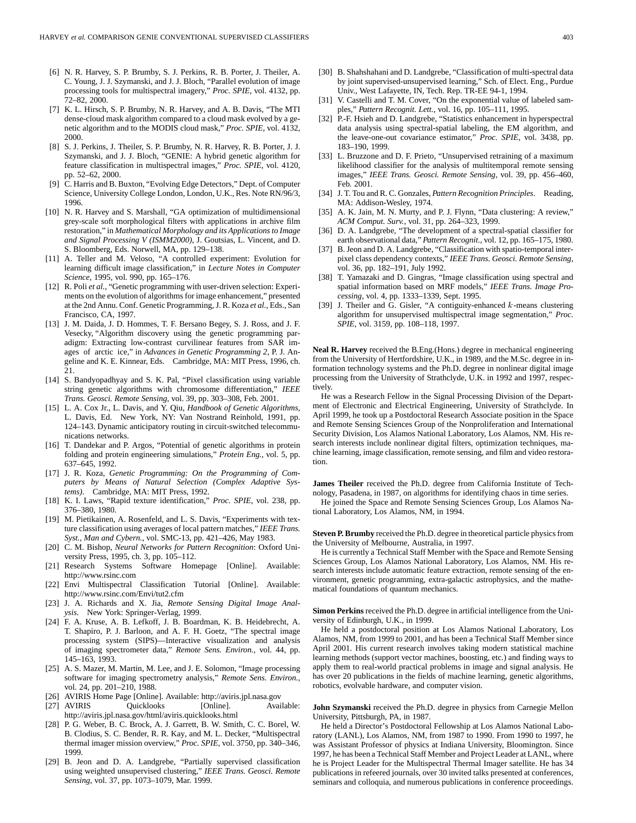- [6] N. R. Harvey, S. P. Brumby, S. J. Perkins, R. B. Porter, J. Theiler, A. C. Young, J. J. Szymanski, and J. J. Bloch, "Parallel evolution of image processing tools for multispectral imagery," *Proc. SPIE*, vol. 4132, pp. 72–82, 2000.
- [7] K. L. Hirsch, S. P. Brumby, N. R. Harvey, and A. B. Davis, "The MTI dense-cloud mask algorithm compared to a cloud mask evolved by a genetic algorithm and to the MODIS cloud mask," *Proc. SPIE*, vol. 4132, 2000.
- [8] S. J. Perkins, J. Theiler, S. P. Brumby, N. R. Harvey, R. B. Porter, J. J. Szymanski, and J. J. Bloch, "GENIE: A hybrid genetic algorithm for feature classification in multispectral images," *Proc. SPIE*, vol. 4120, pp. 52–62, 2000.
- [9] C. Harris and B. Buxton, "Evolving Edge Detectors," Dept. of Computer Science, University College London, London, U.K., Res. Note RN/96/3, 1996.
- [10] N. R. Harvey and S. Marshall, "GA optimization of multidimensional grey-scale soft morphological filters with applications in archive film restoration," in *Mathematical Morphology and its Applications to Image and Signal Processing V (ISMM2000)*, J. Goutsias, L. Vincent, and D. S. Bloomberg, Eds. Norwell, MA, pp. 129–138.
- [11] A. Teller and M. Veloso, "A controlled experiment: Evolution for learning difficult image classification," in *Lecture Notes in Computer Science*, 1995, vol. 990, pp. 165–176.
- [12] R. Poli *et al.*, "Genetic programming with user-driven selection: Experiments on the evolution of algorithms for image enhancement," presented at the 2nd Annu. Conf. Genetic Programming, J. R. Koza *et al.*, Eds., San Francisco, CA, 1997.
- [13] J. M. Daida, J. D. Hommes, T. F. Bersano Begey, S. J. Ross, and J. F. Vesecky, "Algorithm discovery using the genetic programming paradigm: Extracting low-contrast curvilinear features from SAR images of arctic ice," in *Advances in Genetic Programming 2*, P. J. Angeline and K. E. Kinnear, Eds. Cambridge, MA: MIT Press, 1996, ch. 21.
- [14] S. Bandyopadhyay and S. K. Pal, "Pixel classification using variable string genetic algorithms with chromosome differentiation," *IEEE Trans. Geosci. Remote Sensing*, vol. 39, pp. 303–308, Feb. 2001.
- [15] L. A. Cox Jr., L. Davis, and Y. Qiu, *Handbook of Genetic Algorithms*, L. Davis, Ed. New York, NY: Van Nostrand Reinhold, 1991, pp. 124–143. Dynamic anticipatory routing in circuit-switched telecommunications networks.
- [16] T. Dandekar and P. Argos, "Potential of genetic algorithms in protein folding and protein engineering simulations," *Protein Eng.*, vol. 5, pp. 637–645, 1992.
- [17] J. R. Koza, *Genetic Programming: On the Programming of Computers by Means of Natural Selection (Complex Adaptive Systems)*. Cambridge, MA: MIT Press, 1992.
- [18] K. I. Laws, "Rapid texture identification," *Proc. SPIE*, vol. 238, pp. 376–380, 1980.
- [19] M. Pietikainen, A. Rosenfeld, and L. S. Davis, "Experiments with texture classification using averages of local pattern matches," *IEEE Trans. Syst., Man and Cybern.*, vol. SMC-13, pp. 421–426, May 1983.
- [20] C. M. Bishop, *Neural Networks for Pattern Recognition*: Oxford University Press, 1995, ch. 3, pp. 105–112.
- [21] Research Systems Software Homepage [Online]. Available: http://www.rsinc.com
- [22] Envi Multispectral Classification Tutorial [Online]. Available: http://www.rsinc.com/Envi/tut2.cfm
- [23] J. A. Richards and X. Jia, *Remote Sensing Digital Image Analysis*. New York: Springer-Verlag, 1999.
- [24] F. A. Kruse, A. B. Lefkoff, J. B. Boardman, K. B. Heidebrecht, A. T. Shapiro, P. J. Barloon, and A. F. H. Goetz, "The spectral image processing system (SIPS)—Interactive visualization and analysis of imaging spectrometer data," *Remote Sens. Environ.*, vol. 44, pp. 145–163, 1993.
- [25] A. S. Mazer, M. Martin, M. Lee, and J. E. Solomon, "Image processing software for imaging spectrometry analysis," *Remote Sens. Environ.*, vol. 24, pp. 201–210, 1988.
- [26] AVIRIS Home Page [Online]. Available: http://aviris.jpl.nasa.gov
- [27] AVIRIS Ouicklooks [Online]. Available: http://aviris.jpl.nasa.gov/html/aviris.quicklooks.html
- [28] P. G. Weber, B. C. Brock, A. J. Garrett, B. W. Smith, C. C. Borel, W. B. Clodius, S. C. Bender, R. R. Kay, and M. L. Decker, "Multispectral thermal imager mission overview," *Proc. SPIE*, vol. 3750, pp. 340–346, 1999.
- [29] B. Jeon and D. A. Landgrebe, "Partially supervised classification using weighted unsupervised clustering," *IEEE Trans. Geosci. Remote Sensing*, vol. 37, pp. 1073–1079, Mar. 1999.
- [30] B. Shahshahani and D. Landgrebe, "Classification of multi-spectral data by joint supervised-unsupervised learning," Sch. of Elect. Eng., Purdue Univ., West Lafayette, IN, Tech. Rep. TR-EE 94-1, 1994.
- [31] V. Castelli and T. M. Cover, "On the exponential value of labeled samples," *Pattern Recognit. Lett.*, vol. 16, pp. 105–111, 1995.
- [32] P.-F. Hsieh and D. Landgrebe, "Statistics enhancement in hyperspectral data analysis using spectral-spatial labeling, the EM algorithm, and the leave-one-out covariance estimator," *Proc. SPIE*, vol. 3438, pp. 183–190, 1999.
- [33] L. Bruzzone and D. F. Prieto, "Unsupervised retraining of a maximum likelihood classifier for the analysis of multitemporal remote sensing images," *IEEE Trans. Geosci. Remote Sensing*, vol. 39, pp. 456–460, Feb. 2001.
- [34] J. T. Tou and R. C. Gonzales, *Pattern Recognition Principles*. Reading, MA: Addison-Wesley, 1974.
- [35] A. K. Jain, M. N. Murty, and P. J. Flynn, "Data clustering: A review," *ACM Comput. Surv.*, vol. 31, pp. 264–323, 1999.
- [36] D. A. Landgrebe, "The development of a spectral-spatial classifier for earth observational data," *Pattern Recognit.*, vol. 12, pp. 165–175, 1980.
- [37] B. Jeon and D. A. Landgrebe, "Classification with spatio-temporal interpixel class dependency contexts," *IEEE Trans. Geosci. Remote Sensing*, vol. 36, pp. 182–191, July 1992.
- [38] T. Yamazaki and D. Gingras, "Image classification using spectral and spatial information based on MRF models," *IEEE Trans. Image Processing*, vol. 4, pp. 1333–1339, Sept. 1995.
- [39] J. Theiler and G. Gisler, "A contiguity-enhanced k-means clustering algorithm for unsupervised multispectral image segmentation," *Proc. SPIE*, vol. 3159, pp. 108–118, 1997.

**Neal R. Harvey** received the B.Eng.(Hons.) degree in mechanical engineering from the University of Hertfordshire, U.K., in 1989, and the M.Sc. degree in information technology systems and the Ph.D. degree in nonlinear digital image processing from the University of Strathclyde, U.K. in 1992 and 1997, respectively.

He was a Research Fellow in the Signal Processing Division of the Department of Electronic and Electrical Engineering, University of Strathclyde. In April 1999, he took up a Postdoctoral Research Associate position in the Space and Remote Sensing Sciences Group of the Nonproliferation and International Security Division, Los Alamos National Laboratory, Los Alamos, NM. His research interests include nonlinear digital filters, optimization techniques, machine learning, image classification, remote sensing, and film and video restoration.

**James Theiler** received the Ph.D. degree from California Institute of Technology, Pasadena, in 1987, on algorithms for identifying chaos in time series.

He joined the Space and Remote Sensing Sciences Group, Los Alamos National Laboratory, Los Alamos, NM, in 1994.

**Steven P. Brumby** received the Ph.D. degree in theoretical particle physics from the University of Melbourne, Australia, in 1997.

He is currently a Technical Staff Member with the Space and Remote Sensing Sciences Group, Los Alamos National Laboratory, Los Alamos, NM. His research interests include automatic feature extraction, remote sensing of the environment, genetic programming, extra-galactic astrophysics, and the mathematical foundations of quantum mechanics.

**Simon Perkins** received the Ph.D. degree in artificial intelligence from the University of Edinburgh, U.K., in 1999.

He held a postdoctoral position at Los Alamos National Laboratory, Los Alamos, NM, from 1999 to 2001, and has been a Technical Staff Member since April 2001. His current research involves taking modern statistical machine learning methods (support vector machines, boosting, etc.) and finding ways to apply them to real-world practical problems in image and signal analysis. He has over 20 publications in the fields of machine learning, genetic algorithms, robotics, evolvable hardware, and computer vision.

**John Szymanski** received the Ph.D. degree in physics from Carnegie Mellon University, Pittsburgh, PA, in 1987.

He held a Director's Postdoctoral Fellowship at Los Alamos National Laboratory (LANL), Los Alamos, NM, from 1987 to 1990. From 1990 to 1997, he was Assistant Professor of physics at Indiana University, Bloomington. Since 1997, he has been a Technical Staff Member and Project Leader at LANL, where he is Project Leader for the Multispectral Thermal Imager satellite. He has 34 publications in refeered journals, over 30 invited talks presented at conferences, seminars and colloquia, and numerous publications in conference proceedings.